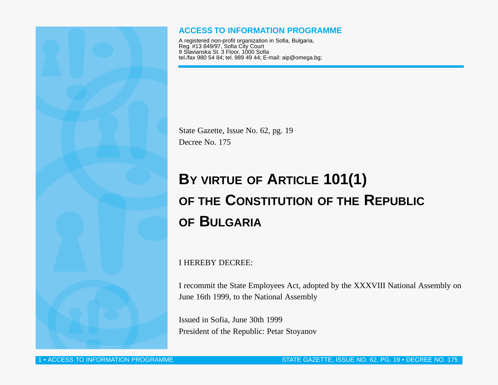

## **ACCESS TO INFORMATION PROGRAMME**

A registered non-profit organization in Sofia, Bulgaria, Reg. #13 849/97, Sofia City Court 9 Slavianska St. 3 Floor, 1000 Sofia tel./fax 980 54 84; tel. 989 49 44; E-mail: aip@omega.bg;

State Gazette, Issue No. 62, pg. 19 Decree No. 175

## **BY VIRTUE OF ARTICLE 101(1) OF THE CONSTITUTION OF THE REPUBLIC OF BULGARIA**

I HEREBY DECREE:

I recommit the State Employees Act, adopted by the XXXVIII National Assembly on June 16th 1999, to the National Assembly

Issued in Sofia, June 30th 1999 President of the Republic: Petar Stoyanov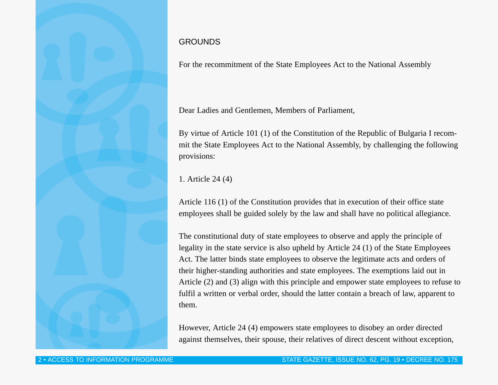## GROUNDS

For the recommitment of the State Employees Act to the National Assembly

Dear Ladies and Gentlemen, Members of Parliament,

By virtue of Article 101 (1) of the Constitution of the Republic of Bulgaria I recommit the State Employees Act to the National Assembly, by challenging the following provisions:

1. Article 24 (4)

Article 116 (1) of the Constitution provides that in execution of their office state employees shall be guided solely by the law and shall have no political allegiance.

The constitutional duty of state employees to observe and apply the principle of legality in the state service is also upheld by Article 24 (1) of the State Employees Act. The latter binds state employees to observe the legitimate acts and orders of their higher-standing authorities and state employees. The exemptions laid out in Article (2) and (3) align with this principle and empower state employees to refuse to fulfil a written or verbal order, should the latter contain a breach of law, apparent to them.

However, Article 24 (4) empowers state employees to disobey an order directed against themselves, their spouse, their relatives of direct descent without exception,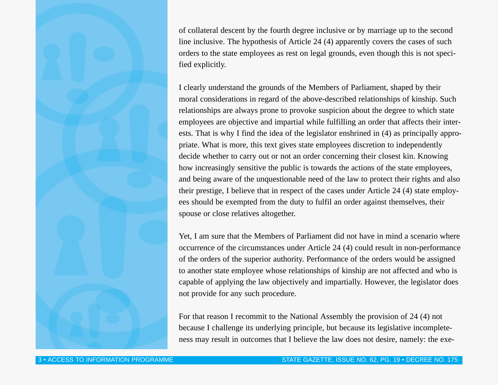of collateral descent by the fourth degree inclusive or by marriage up to the second line inclusive. The hypothesis of Article 24 (4) apparently covers the cases of such orders to the state employees as rest on legal grounds, even though this is not specified explicitly.

I clearly understand the grounds of the Members of Parliament, shaped by their moral considerations in regard of the above-described relationships of kinship. Such relationships are always prone to provoke suspicion about the degree to which state employees are objective and impartial while fulfilling an order that affects their interests. That is why I find the idea of the legislator enshrined in (4) as principally appropriate. What is more, this text gives state employees discretion to independently decide whether to carry out or not an order concerning their closest kin. Knowing how increasingly sensitive the public is towards the actions of the state employees, and being aware of the unquestionable need of the law to protect their rights and also their prestige, I believe that in respect of the cases under Article 24 (4) state employees should be exempted from the duty to fulfil an order against themselves, their spouse or close relatives altogether.

Yet, I am sure that the Members of Parliament did not have in mind a scenario where occurrence of the circumstances under Article 24 (4) could result in non-performance of the orders of the superior authority. Performance of the orders would be assigned to another state employee whose relationships of kinship are not affected and who is capable of applying the law objectively and impartially. However, the legislator does not provide for any such procedure.

For that reason I recommit to the National Assembly the provision of 24 (4) not because I challenge its underlying principle, but because its legislative incompleteness may result in outcomes that I believe the law does not desire, namely: the exe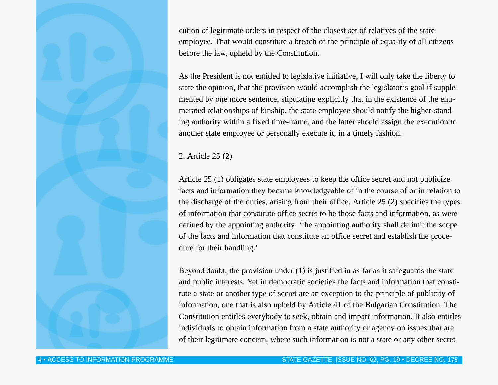cution of legitimate orders in respect of the closest set of relatives of the state employee. That would constitute a breach of the principle of equality of all citizens before the law, upheld by the Constitution.

As the President is not entitled to legislative initiative, I will only take the liberty to state the opinion, that the provision would accomplish the legislator's goal if supplemented by one more sentence, stipulating explicitly that in the existence of the enumerated relationships of kinship, the state employee should notify the higher-standing authority within a fixed time-frame, and the latter should assign the execution to another state employee or personally execute it, in a timely fashion.

2. Article 25 (2)

Article 25 (1) obligates state employees to keep the office secret and not publicize facts and information they became knowledgeable of in the course of or in relation to the discharge of the duties, arising from their office. Article 25 (2) specifies the types of information that constitute office secret to be those facts and information, as were defined by the appointing authority: 'the appointing authority shall delimit the scope of the facts and information that constitute an office secret and establish the procedure for their handling.'

Beyond doubt, the provision under (1) is justified in as far as it safeguards the state and public interests. Yet in democratic societies the facts and information that constitute a state or another type of secret are an exception to the principle of publicity of information, one that is also upheld by Article 41 of the Bulgarian Constitution. The Constitution entitles everybody to seek, obtain and impart information. It also entitles individuals to obtain information from a state authority or agency on issues that are of their legitimate concern, where such information is not a state or any other secret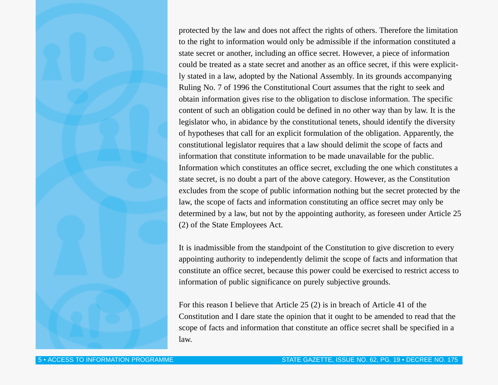protected by the law and does not affect the rights of others. Therefore the limitation to the right to information would only be admissible if the information constituted a state secret or another, including an office secret. However, a piece of information could be treated as a state secret and another as an office secret, if this were explicitly stated in a law, adopted by the National Assembly. In its grounds accompanying Ruling No. 7 of 1996 the Constitutional Court assumes that the right to seek and obtain information gives rise to the obligation to disclose information. The specific content of such an obligation could be defined in no other way than by law. It is the legislator who, in abidance by the constitutional tenets, should identify the diversity of hypotheses that call for an explicit formulation of the obligation. Apparently, the constitutional legislator requires that a law should delimit the scope of facts and information that constitute information to be made unavailable for the public. Information which constitutes an office secret, excluding the one which constitutes a state secret, is no doubt a part of the above category. However, as the Constitution excludes from the scope of public information nothing but the secret protected by the law, the scope of facts and information constituting an office secret may only be determined by a law, but not by the appointing authority, as foreseen under Article 25 (2) of the State Employees Act.

It is inadmissible from the standpoint of the Constitution to give discretion to every appointing authority to independently delimit the scope of facts and information that constitute an office secret, because this power could be exercised to restrict access to information of public significance on purely subjective grounds.

For this reason I believe that Article 25 (2) is in breach of Article 41 of the Constitution and I dare state the opinion that it ought to be amended to read that the scope of facts and information that constitute an office secret shall be specified in a law.